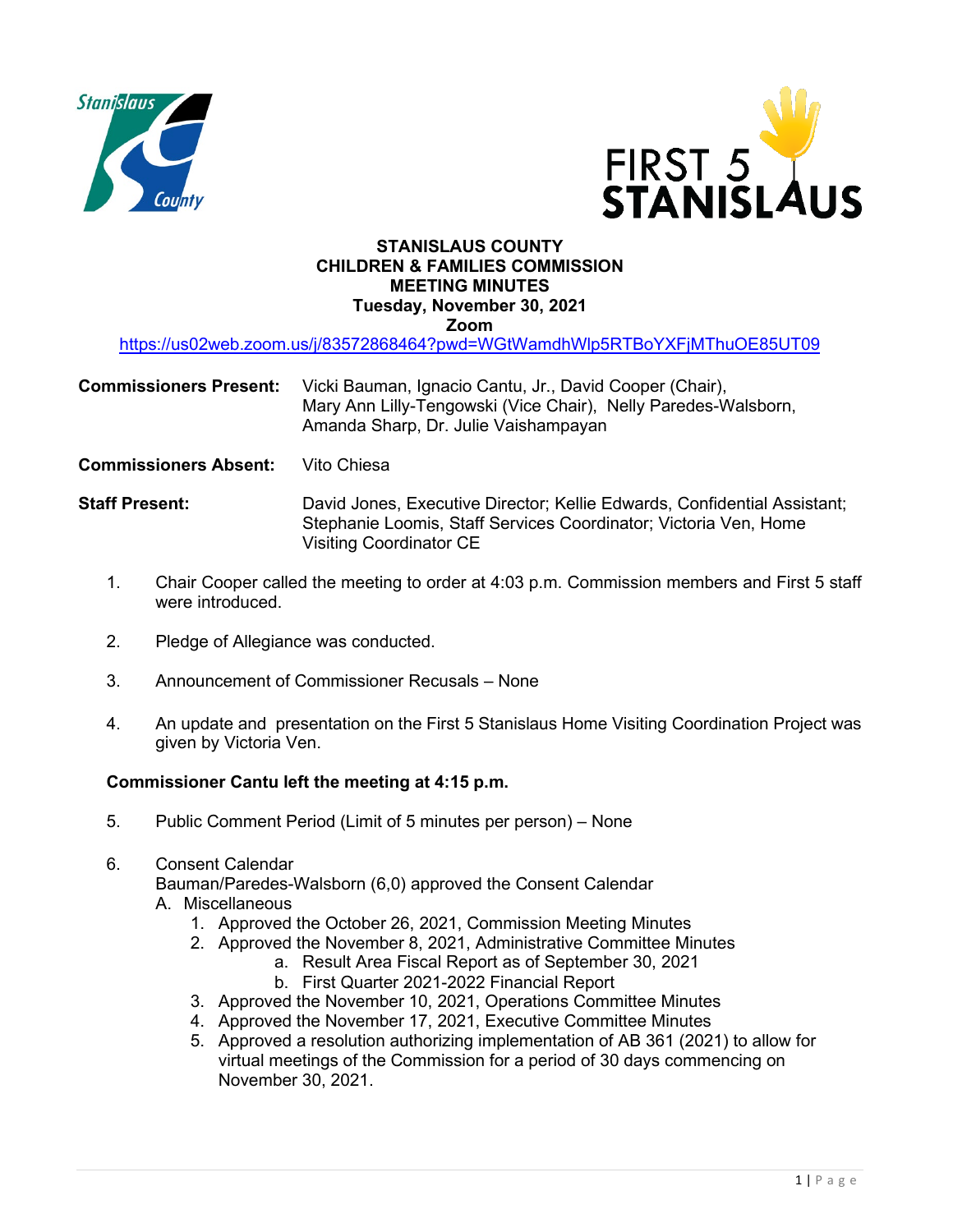



## **STANISLAUS COUNTY CHILDREN & FAMILIES COMMISSION MEETING MINUTES Tuesday, November 30, 2021 Zoom**

<https://us02web.zoom.us/j/83572868464?pwd=WGtWamdhWlp5RTBoYXFjMThuOE85UT09>

## **Commissioners Present:** Vicki Bauman, Ignacio Cantu, Jr., David Cooper (Chair), Mary Ann Lilly-Tengowski (Vice Chair), Nelly Paredes-Walsborn, Amanda Sharp, Dr. Julie Vaishampayan

**Commissioners Absent:** Vito Chiesa

- **Staff Present:** David Jones, Executive Director; Kellie Edwards, Confidential Assistant; Stephanie Loomis, Staff Services Coordinator; Victoria Ven, Home Visiting Coordinator CE
	- 1. Chair Cooper called the meeting to order at 4:03 p.m. Commission members and First 5 staff were introduced.
	- 2. Pledge of Allegiance was conducted.
	- 3. Announcement of Commissioner Recusals None
	- 4. An update and presentation on the First 5 Stanislaus Home Visiting Coordination Project was given by Victoria Ven.

## **Commissioner Cantu left the meeting at 4:15 p.m.**

- 5. Public Comment Period (Limit of 5 minutes per person) None
- 6. Consent Calendar

Bauman/Paredes-Walsborn (6,0) approved the Consent Calendar A. Miscellaneous

- - 1. Approved the October 26, 2021, Commission Meeting Minutes
	- 2. Approved the November 8, 2021, Administrative Committee Minutes
		- a. Result Area Fiscal Report as of September 30, 2021 b. First Quarter 2021-2022 Financial Report
	- 3. Approved the November 10, 2021, Operations Committee Minutes
	- 4. Approved the November 17, 2021, Executive Committee Minutes
	- 5. Approved a resolution authorizing implementation of AB 361 (2021) to allow for virtual meetings of the Commission for a period of 30 days commencing on November 30, 2021.